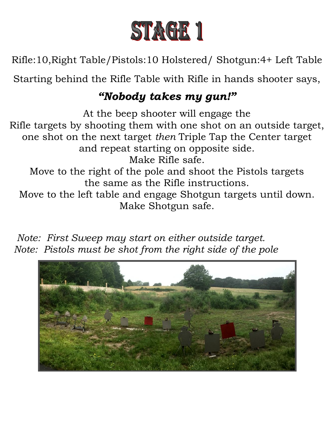

Rifle:10,Right Table/Pistols:10 Holstered/ Shotgun:4+ Left Table

Starting behind the Rifle Table with Rifle in hands shooter says,

## *"Nobody takes my gun!"*

At the beep shooter will engage the Rifle targets by shooting them with one shot on an outside target, one shot on the next target *then* Triple Tap the Center target and repeat starting on opposite side. Make Rifle safe. Move to the right of the pole and shoot the Pistols targets the same as the Rifle instructions. Move to the left table and engage Shotgun targets until down. Make Shotgun safe.

 *Note: First Sweep may start on either outside target. Note: Pistols must be shot from the right side of the pole*

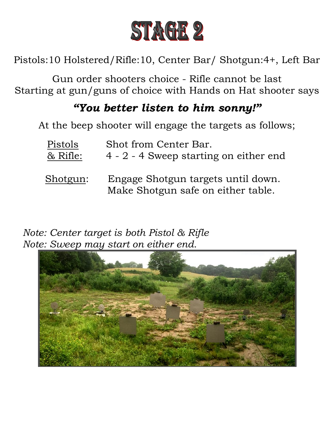

Pistols:10 Holstered/Rifle:10, Center Bar/ Shotgun:4+, Left Bar

Gun order shooters choice - Rifle cannot be last Starting at gun/guns of choice with Hands on Hat shooter says

### *"You better listen to him sonny!"*

At the beep shooter will engage the targets as follows;

| Pistols  | Shot from Center Bar.                                                    |
|----------|--------------------------------------------------------------------------|
| & Rifle: | 4 - 2 - 4 Sweep starting on either end                                   |
| Shotgun: | Engage Shotgun targets until down.<br>Make Shotgun safe on either table. |

 *Note: Center target is both Pistol & Rifle Note: Sweep may start on either end.*

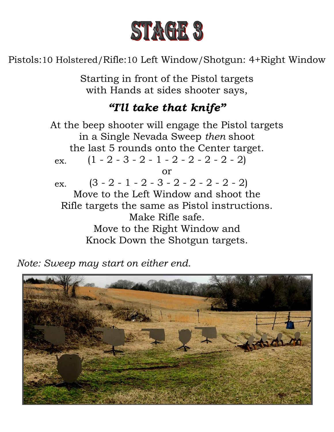

Pistols:10 Holstered/Rifle:10 Left Window/Shotgun: 4+Right Window

Starting in front of the Pistol targets with Hands at sides shooter says,

## *"I'll take that knife"*

At the beep shooter will engage the Pistol targets in a Single Nevada Sweep *then* shoot the last 5 rounds onto the Center target.  $(1 - 2 - 3 - 2 - 1 - 2 - 2 - 2 - 2)$ or  $(3 - 2 - 1 - 2 - 3 - 2 - 2 - 2 - 2)$ Move to the Left Window and shoot the Rifle targets the same as Pistol instructions. Make Rifle safe. Move to the Right Window and Knock Down the Shotgun targets. ex. ex.

 *Note: Sweep may start on either end.*

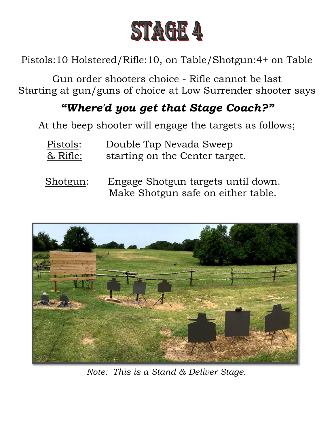

Pistols:10 Holstered/Rifle:10, on Table/Shotgun:4+ on Table

Gun order shooters choice - Rifle cannot be last Starting at gun/guns of choice at Low Surrender shooter says

# *"Where'd you get that Stage Coach?"*

At the beep shooter will engage the targets as follows;

- Pistols: Double Tap Nevada Sweep & Rifle: starting on the Center target.
- Shotgun: Engage Shotgun targets until down. Make Shotgun safe on either table.



*Note: This is a Stand & Deliver Stage.*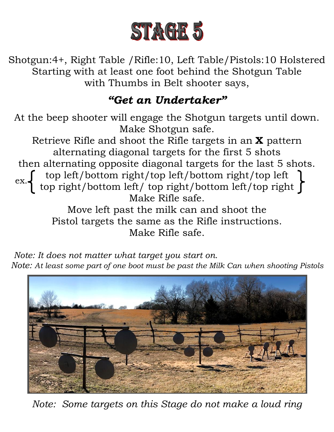

Shotgun:4+, Right Table /Rifle:10, Left Table/Pistols:10 Holstered Starting with at least one foot behind the Shotgun Table with Thumbs in Belt shooter says,

## *"Get an Undertaker"*

At the beep shooter will engage the Shotgun targets until down. Make Shotgun safe.

Retrieve Rifle and shoot the Rifle targets in an **X** pattern alternating diagonal targets for the first 5 shots then alternating opposite diagonal targets for the last 5 shots. top left/bottom right/top left/bottom right/top left top right/bottom left/ top right/bottom left/top right Make Rifle safe. Move left past the milk can and shoot the Pistol targets the same as the Rifle instructions. ex.

Make Rifle safe.

 *Note: It does not matter what target you start on. Note: At least some part of one boot must be past the Milk Can when shooting Pistols*



*Note: Some targets on this Stage do not make a loud ring*